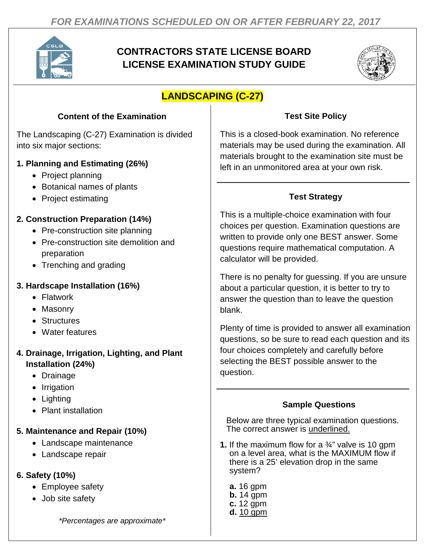

# **CONTRACTORS STATE LICENSE BOARD LICENSE EXAMINATION STUDY GUIDE**



# **LANDSCAPING (C-27)**

# **Content of the Examination**

The Landscaping (C-27) Examination is divided into six major sections:

#### **1. Planning and Estimating (26%)**

- Project planning
- Botanical names of plants
- Project estimating

# **2. Construction Preparation (14%)**

- Pre-construction site planning
- Pre-construction site demolition and preparation
- Trenching and grading

# **3. Hardscape Installation (16%)**

- Flatwork
- Masonry
- Structures
- Water features

# **4. Drainage, Irrigation, Lighting, and Plant Installation (24%)**

- Drainage
- Irrigation
- Lighting
- Plant installation

# **5. Maintenance and Repair (10%)**

- Landscape maintenance
- Landscape repair

# **6. Safety (10%)**

- Employee safety
- Job site safety

*\*Percentages are approximate\**

#### **Test Site Policy**

This is a closed-book examination. No reference materials may be used during the examination. All materials brought to the examination site must be left in an unmonitored area at your own risk.

# **Test Strategy**

This is a multiple-choice examination with four choices per question. Examination questions are written to provide only one BEST answer. Some questions require mathematical computation. A calculator will be provided.

There is no penalty for guessing. If you are unsure about a particular question, it is better to try to answer the question than to leave the question blank.

Plenty of time is provided to answer all examination questions, so be sure to read each question and its four choices completely and carefully before selecting the BEST possible answer to the question.

#### **Sample Questions**

Below are three typical examination questions. The correct answer is underlined.

- **1.** If the maximum flow for a ¾" valve is 10 gpm on a level area, what is the MAXIMUM flow if there is a 25' elevation drop in the same system?
	- **a.** 16 gpm **b.** 14 gpm **c.** 12 gpm **d.** 10 gpm